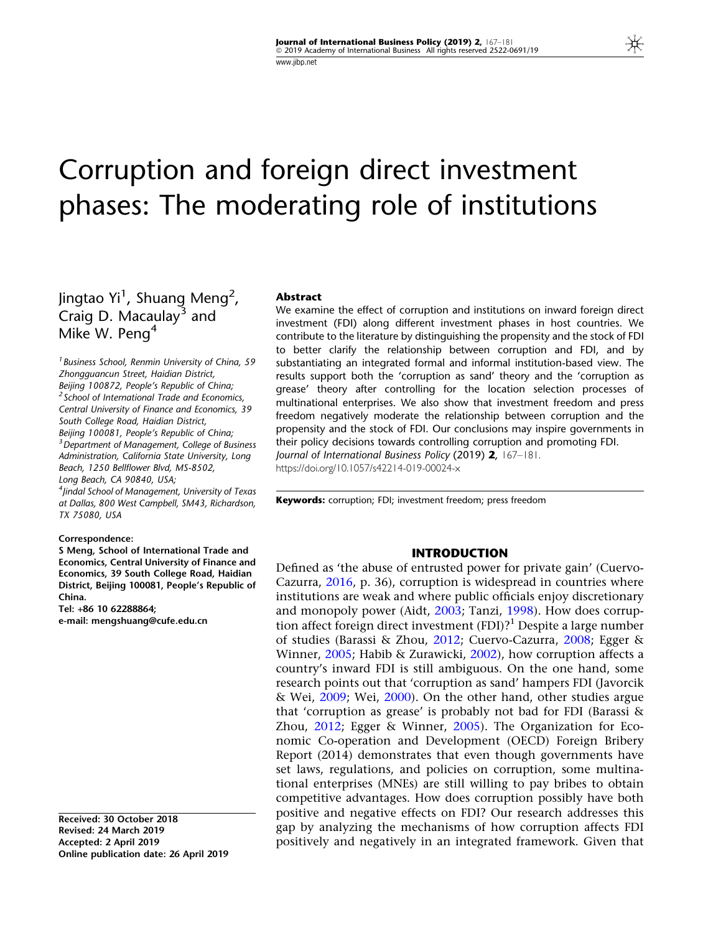# Corruption and foreign direct investment phases: The moderating role of institutions

Jingtao Yi<sup>1</sup>, Shuang Meng<sup>2</sup>, Craig D. Macaulay $3$  and Mike W. Peng<sup>4</sup>

<sup>1</sup> Business School, Renmin University of China, 59 Zhongguancun Street, Haidian District, Beijing 100872, People's Republic of China; <sup>2</sup> School of International Trade and Economics, Central University of Finance and Economics, 39 South College Road, Haidian District, Beijing 100081, People's Republic of China; <sup>3</sup> Department of Management, College of Business Administration, California State University, Long Beach, 1250 Bellflower Blvd, MS-8502, Long Beach, CA 90840, USA;

4 Jindal School of Management, University of Texas at Dallas, 800 West Campbell, SM43, Richardson, TX 75080, USA

#### Correspondence:

S Meng, School of International Trade and Economics, Central University of Finance and Economics, 39 South College Road, Haidian District, Beijing 100081, People's Republic of China.

Tel: +86 10 62288864; e-mail: mengshuang@cufe.edu.cn

Received: 30 October 2018 Revised: 24 March 2019 Accepted: 2 April 2019 Online publication date: 26 April 2019

#### Abstract

We examine the effect of corruption and institutions on inward foreign direct investment (FDI) along different investment phases in host countries. We contribute to the literature by distinguishing the propensity and the stock of FDI to better clarify the relationship between corruption and FDI, and by substantiating an integrated formal and informal institution-based view. The results support both the 'corruption as sand' theory and the 'corruption as grease' theory after controlling for the location selection processes of multinational enterprises. We also show that investment freedom and press freedom negatively moderate the relationship between corruption and the propensity and the stock of FDI. Our conclusions may inspire governments in their policy decisions towards controlling corruption and promoting FDI. Journal of International Business Policy (2019) 2, 167-181. https://doi.org/10.1057/s42214-019-00024-x

Keywords: corruption; FDI; investment freedom; press freedom

## INTRODUCTION

Defined as 'the abuse of entrusted power for private gain' (Cuervo-Cazurra, [2016](#page-12-0), p. 36), corruption is widespread in countries where institutions are weak and where public officials enjoy discretionary and monopoly power (Aidt, [2003](#page-12-0); Tanzi, [1998](#page-13-0)). How does corruption affect foreign direct investment  $(FDI)<sup>1</sup>$  Despite a large number of studies (Barassi & Zhou, [2012](#page-12-0); Cuervo-Cazurra, [2008;](#page-12-0) Egger & Winner, [2005](#page-12-0); Habib & Zurawicki, [2002](#page-13-0)), how corruption affects a country's inward FDI is still ambiguous. On the one hand, some research points out that 'corruption as sand' hampers FDI (Javorcik & Wei, [2009;](#page-13-0) Wei, [2000](#page-13-0)). On the other hand, other studies argue that 'corruption as grease' is probably not bad for FDI (Barassi & Zhou, [2012](#page-12-0); Egger & Winner, [2005](#page-12-0)). The Organization for Economic Co-operation and Development (OECD) Foreign Bribery Report (2014) demonstrates that even though governments have set laws, regulations, and policies on corruption, some multinational enterprises (MNEs) are still willing to pay bribes to obtain competitive advantages. How does corruption possibly have both positive and negative effects on FDI? Our research addresses this gap by analyzing the mechanisms of how corruption affects FDI positively and negatively in an integrated framework. Given that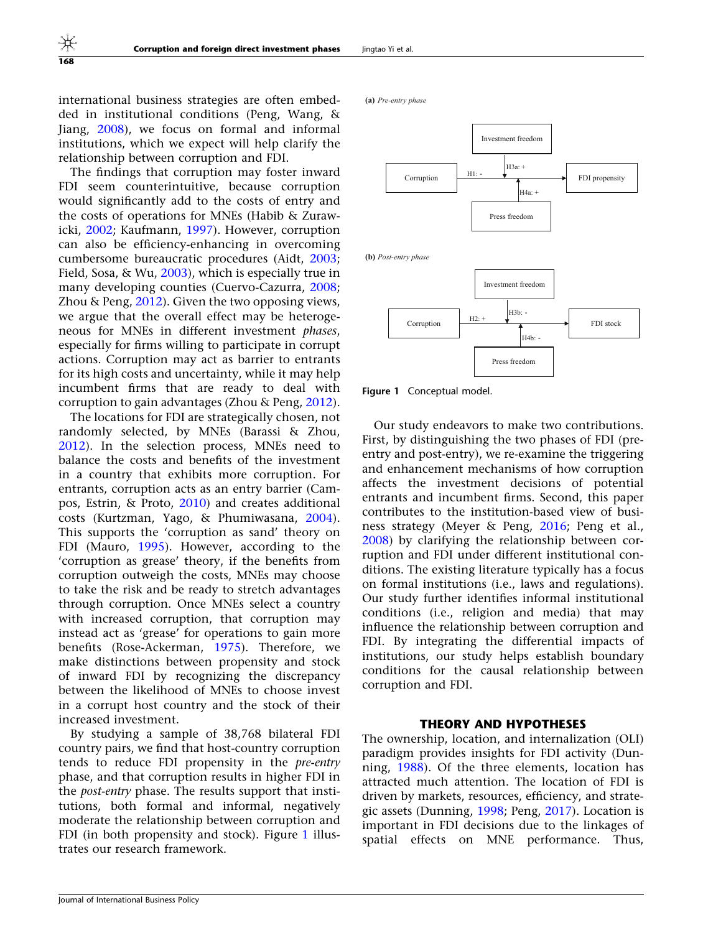international business strategies are often embedded in institutional conditions (Peng, Wang, & Jiang, [2008](#page-13-0)), we focus on formal and informal institutions, which we expect will help clarify the relationship between corruption and FDI.

The findings that corruption may foster inward FDI seem counterintuitive, because corruption would significantly add to the costs of entry and the costs of operations for MNEs (Habib & Zurawicki, [2002;](#page-13-0) Kaufmann, [1997\)](#page-13-0). However, corruption can also be efficiency-enhancing in overcoming cumbersome bureaucratic procedures (Aidt, [2003;](#page-12-0) Field, Sosa, & Wu, [2003](#page-12-0)), which is especially true in many developing counties (Cuervo-Cazurra, [2008;](#page-12-0) Zhou & Peng, [2012\)](#page-13-0). Given the two opposing views, we argue that the overall effect may be heterogeneous for MNEs in different investment phases, especially for firms willing to participate in corrupt actions. Corruption may act as barrier to entrants for its high costs and uncertainty, while it may help incumbent firms that are ready to deal with corruption to gain advantages (Zhou & Peng, [2012\)](#page-13-0).

The locations for FDI are strategically chosen, not randomly selected, by MNEs (Barassi & Zhou, [2012\)](#page-12-0). In the selection process, MNEs need to balance the costs and benefits of the investment in a country that exhibits more corruption. For entrants, corruption acts as an entry barrier (Campos, Estrin, & Proto, [2010\)](#page-12-0) and creates additional costs (Kurtzman, Yago, & Phumiwasana, [2004\)](#page-13-0). This supports the 'corruption as sand' theory on FDI (Mauro, [1995\)](#page-13-0). However, according to the 'corruption as grease' theory, if the benefits from corruption outweigh the costs, MNEs may choose to take the risk and be ready to stretch advantages through corruption. Once MNEs select a country with increased corruption, that corruption may instead act as 'grease' for operations to gain more benefits (Rose-Ackerman, [1975](#page-13-0)). Therefore, we make distinctions between propensity and stock of inward FDI by recognizing the discrepancy between the likelihood of MNEs to choose invest in a corrupt host country and the stock of their increased investment.

By studying a sample of 38,768 bilateral FDI country pairs, we find that host-country corruption tends to reduce FDI propensity in the pre-entry phase, and that corruption results in higher FDI in the *post-entry* phase. The results support that institutions, both formal and informal, negatively moderate the relationship between corruption and FDI (in both propensity and stock). Figure 1 illustrates our research framework.



Figure 1 Conceptual model.

**(a)** *Pre-entry phase*

Our study endeavors to make two contributions. First, by distinguishing the two phases of FDI (preentry and post-entry), we re-examine the triggering and enhancement mechanisms of how corruption affects the investment decisions of potential entrants and incumbent firms. Second, this paper contributes to the institution-based view of business strategy (Meyer & Peng, [2016](#page-13-0); Peng et al., [2008\)](#page-13-0) by clarifying the relationship between corruption and FDI under different institutional conditions. The existing literature typically has a focus on formal institutions (i.e., laws and regulations). Our study further identifies informal institutional conditions (i.e., religion and media) that may influence the relationship between corruption and FDI. By integrating the differential impacts of institutions, our study helps establish boundary conditions for the causal relationship between corruption and FDI.

#### THEORY AND HYPOTHESES

The ownership, location, and internalization (OLI) paradigm provides insights for FDI activity (Dunning, [1988](#page-12-0)). Of the three elements, location has attracted much attention. The location of FDI is driven by markets, resources, efficiency, and strategic assets (Dunning, [1998](#page-12-0); Peng, [2017\)](#page-13-0). Location is important in FDI decisions due to the linkages of spatial effects on MNE performance. Thus,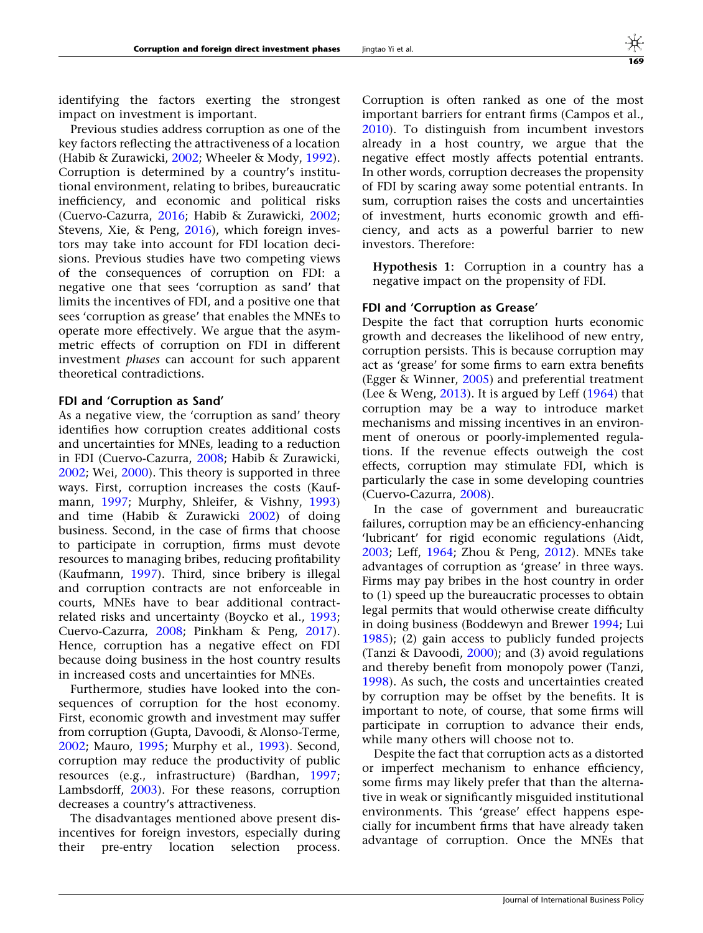identifying the factors exerting the strongest impact on investment is important.

Previous studies address corruption as one of the key factors reflecting the attractiveness of a location (Habib & Zurawicki, [2002](#page-13-0); Wheeler & Mody, [1992\)](#page-13-0). Corruption is determined by a country's institutional environment, relating to bribes, bureaucratic inefficiency, and economic and political risks (Cuervo-Cazurra, [2016;](#page-12-0) Habib & Zurawicki, [2002;](#page-13-0) Stevens, Xie, & Peng, [2016](#page-13-0)), which foreign investors may take into account for FDI location decisions. Previous studies have two competing views of the consequences of corruption on FDI: a negative one that sees 'corruption as sand' that limits the incentives of FDI, and a positive one that sees 'corruption as grease' that enables the MNEs to operate more effectively. We argue that the asymmetric effects of corruption on FDI in different investment phases can account for such apparent theoretical contradictions.

## FDI and 'Corruption as Sand'

As a negative view, the 'corruption as sand' theory identifies how corruption creates additional costs and uncertainties for MNEs, leading to a reduction in FDI (Cuervo-Cazurra, [2008;](#page-12-0) Habib & Zurawicki, [2002;](#page-13-0) Wei, [2000\)](#page-13-0). This theory is supported in three ways. First, corruption increases the costs (Kaufmann, [1997;](#page-13-0) Murphy, Shleifer, & Vishny, [1993\)](#page-13-0) and time (Habib & Zurawicki [2002\)](#page-13-0) of doing business. Second, in the case of firms that choose to participate in corruption, firms must devote resources to managing bribes, reducing profitability (Kaufmann, [1997\)](#page-13-0). Third, since bribery is illegal and corruption contracts are not enforceable in courts, MNEs have to bear additional contractrelated risks and uncertainty (Boycko et al., [1993;](#page-12-0) Cuervo-Cazurra, [2008;](#page-12-0) Pinkham & Peng, [2017\)](#page-13-0). Hence, corruption has a negative effect on FDI because doing business in the host country results in increased costs and uncertainties for MNEs.

Furthermore, studies have looked into the consequences of corruption for the host economy. First, economic growth and investment may suffer from corruption (Gupta, Davoodi, & Alonso-Terme, [2002;](#page-12-0) Mauro, [1995;](#page-13-0) Murphy et al., [1993\)](#page-13-0). Second, corruption may reduce the productivity of public resources (e.g., infrastructure) (Bardhan, [1997;](#page-12-0) Lambsdorff, [2003\)](#page-13-0). For these reasons, corruption decreases a country's attractiveness.

The disadvantages mentioned above present disincentives for foreign investors, especially during their pre-entry location selection process.

Corruption is often ranked as one of the most important barriers for entrant firms (Campos et al., [2010\)](#page-12-0). To distinguish from incumbent investors already in a host country, we argue that the negative effect mostly affects potential entrants. In other words, corruption decreases the propensity of FDI by scaring away some potential entrants. In sum, corruption raises the costs and uncertainties of investment, hurts economic growth and efficiency, and acts as a powerful barrier to new investors. Therefore:

Hypothesis 1: Corruption in a country has a negative impact on the propensity of FDI.

## FDI and 'Corruption as Grease'

Despite the fact that corruption hurts economic growth and decreases the likelihood of new entry, corruption persists. This is because corruption may act as 'grease' for some firms to earn extra benefits (Egger & Winner, [2005\)](#page-12-0) and preferential treatment (Lee  $\&$  Weng, [2013\)](#page-13-0). It is argued by Leff  $(1964)$  $(1964)$  that corruption may be a way to introduce market mechanisms and missing incentives in an environment of onerous or poorly-implemented regulations. If the revenue effects outweigh the cost effects, corruption may stimulate FDI, which is particularly the case in some developing countries (Cuervo-Cazurra, [2008\)](#page-12-0).

In the case of government and bureaucratic failures, corruption may be an efficiency-enhancing 'lubricant' for rigid economic regulations (Aidt, [2003;](#page-12-0) Leff, [1964](#page-13-0); Zhou & Peng, [2012](#page-13-0)). MNEs take advantages of corruption as 'grease' in three ways. Firms may pay bribes in the host country in order to (1) speed up the bureaucratic processes to obtain legal permits that would otherwise create difficulty in doing business (Boddewyn and Brewer [1994;](#page-12-0) Lui [1985\)](#page-13-0); (2) gain access to publicly funded projects (Tanzi & Davoodi, [2000\)](#page-13-0); and (3) avoid regulations and thereby benefit from monopoly power (Tanzi, [1998\)](#page-13-0). As such, the costs and uncertainties created by corruption may be offset by the benefits. It is important to note, of course, that some firms will participate in corruption to advance their ends, while many others will choose not to.

Despite the fact that corruption acts as a distorted or imperfect mechanism to enhance efficiency, some firms may likely prefer that than the alternative in weak or significantly misguided institutional environments. This 'grease' effect happens especially for incumbent firms that have already taken advantage of corruption. Once the MNEs that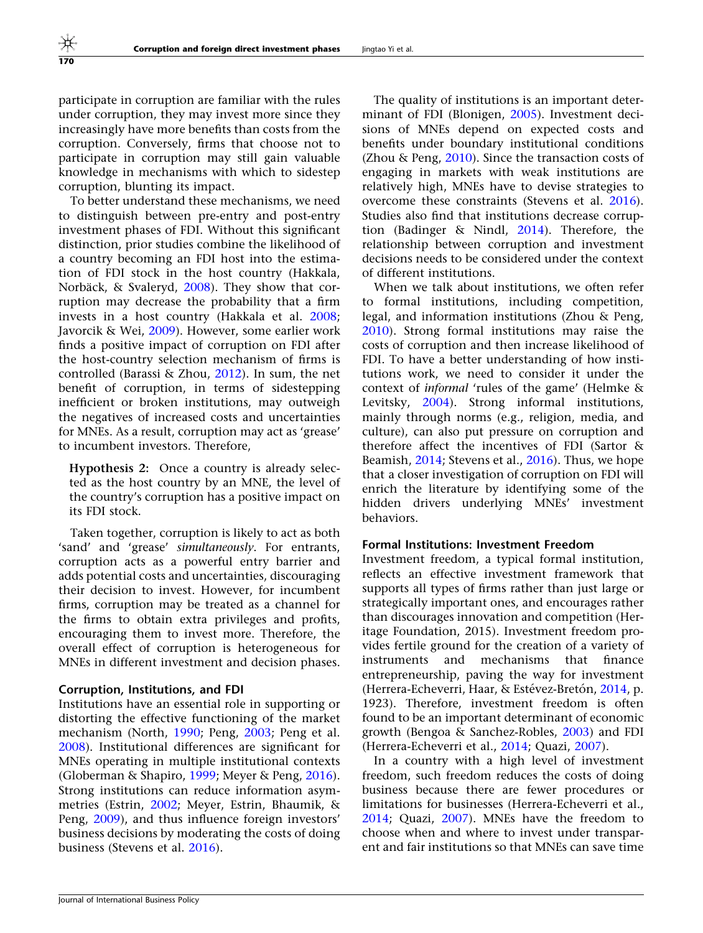participate in corruption are familiar with the rules under corruption, they may invest more since they increasingly have more benefits than costs from the corruption. Conversely, firms that choose not to participate in corruption may still gain valuable knowledge in mechanisms with which to sidestep corruption, blunting its impact.

To better understand these mechanisms, we need to distinguish between pre-entry and post-entry investment phases of FDI. Without this significant distinction, prior studies combine the likelihood of a country becoming an FDI host into the estimation of FDI stock in the host country (Hakkala, Norbäck, & Svaleryd, [2008\)](#page-13-0). They show that corruption may decrease the probability that a firm invests in a host country (Hakkala et al. [2008;](#page-13-0) Javorcik & Wei, [2009\)](#page-13-0). However, some earlier work finds a positive impact of corruption on FDI after the host-country selection mechanism of firms is controlled (Barassi & Zhou, [2012\)](#page-12-0). In sum, the net benefit of corruption, in terms of sidestepping inefficient or broken institutions, may outweigh the negatives of increased costs and uncertainties for MNEs. As a result, corruption may act as 'grease' to incumbent investors. Therefore,

Hypothesis 2: Once a country is already selected as the host country by an MNE, the level of the country's corruption has a positive impact on its FDI stock.

Taken together, corruption is likely to act as both 'sand' and 'grease' simultaneously. For entrants, corruption acts as a powerful entry barrier and adds potential costs and uncertainties, discouraging their decision to invest. However, for incumbent firms, corruption may be treated as a channel for the firms to obtain extra privileges and profits, encouraging them to invest more. Therefore, the overall effect of corruption is heterogeneous for MNEs in different investment and decision phases.

#### Corruption, Institutions, and FDI

Institutions have an essential role in supporting or distorting the effective functioning of the market mechanism (North, [1990;](#page-13-0) Peng, [2003;](#page-13-0) Peng et al. [2008\)](#page-13-0). Institutional differences are significant for MNEs operating in multiple institutional contexts (Globerman & Shapiro, [1999](#page-12-0); Meyer & Peng, [2016\)](#page-13-0). Strong institutions can reduce information asymmetries (Estrin, [2002](#page-12-0); Meyer, Estrin, Bhaumik, & Peng, [2009](#page-13-0)), and thus influence foreign investors' business decisions by moderating the costs of doing business (Stevens et al. [2016\)](#page-13-0).

The quality of institutions is an important determinant of FDI (Blonigen, [2005](#page-12-0)). Investment decisions of MNEs depend on expected costs and benefits under boundary institutional conditions (Zhou & Peng,  $2010$ ). Since the transaction costs of engaging in markets with weak institutions are relatively high, MNEs have to devise strategies to overcome these constraints (Stevens et al. [2016](#page-13-0)). Studies also find that institutions decrease corruption (Badinger & Nindl, [2014](#page-12-0)). Therefore, the relationship between corruption and investment decisions needs to be considered under the context of different institutions.

When we talk about institutions, we often refer to formal institutions, including competition, legal, and information institutions (Zhou & Peng, [2010\)](#page-13-0). Strong formal institutions may raise the costs of corruption and then increase likelihood of FDI. To have a better understanding of how institutions work, we need to consider it under the context of informal 'rules of the game' (Helmke & Levitsky, [2004\)](#page-13-0). Strong informal institutions, mainly through norms (e.g., religion, media, and culture), can also put pressure on corruption and therefore affect the incentives of FDI (Sartor & Beamish, [2014;](#page-13-0) Stevens et al., [2016\)](#page-13-0). Thus, we hope that a closer investigation of corruption on FDI will enrich the literature by identifying some of the hidden drivers underlying MNEs' investment behaviors.

#### Formal Institutions: Investment Freedom

Investment freedom, a typical formal institution, reflects an effective investment framework that supports all types of firms rather than just large or strategically important ones, and encourages rather than discourages innovation and competition (Heritage Foundation, 2015). Investment freedom provides fertile ground for the creation of a variety of instruments and mechanisms that finance entrepreneurship, paving the way for investment (Herrera-Echeverri, Haar, & Estévez-Bretón, [2014](#page-13-0), p. 1923). Therefore, investment freedom is often found to be an important determinant of economic growth (Bengoa & Sanchez-Robles, [2003\)](#page-12-0) and FDI (Herrera-Echeverri et al., [2014](#page-13-0); Quazi, [2007\)](#page-13-0).

In a country with a high level of investment freedom, such freedom reduces the costs of doing business because there are fewer procedures or limitations for businesses (Herrera-Echeverri et al., [2014;](#page-13-0) Quazi, [2007](#page-13-0)). MNEs have the freedom to choose when and where to invest under transparent and fair institutions so that MNEs can save time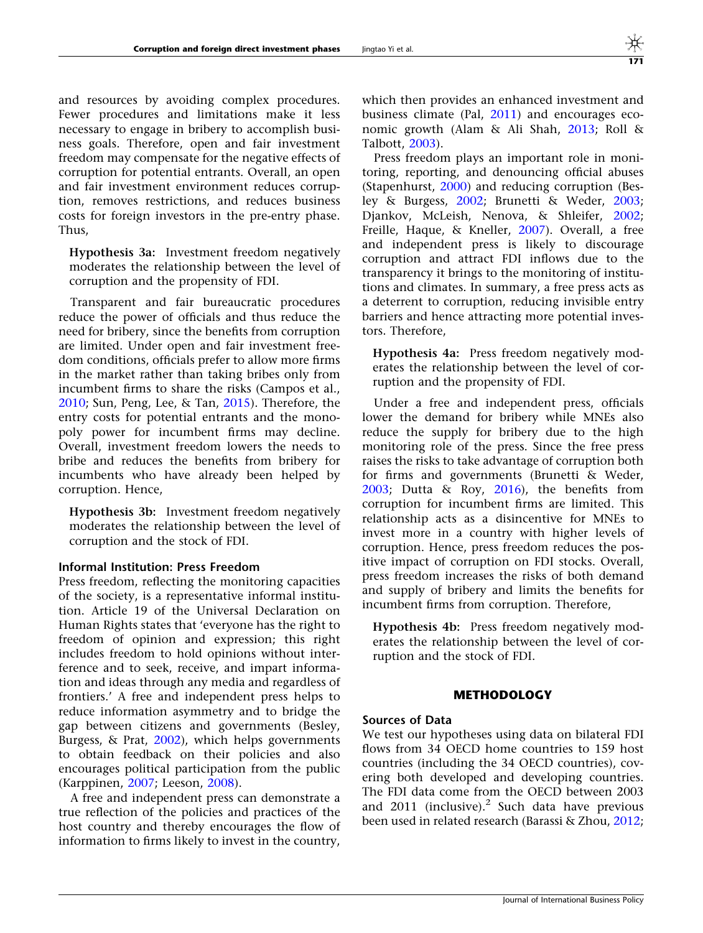and resources by avoiding complex procedures. Fewer procedures and limitations make it less necessary to engage in bribery to accomplish business goals. Therefore, open and fair investment freedom may compensate for the negative effects of corruption for potential entrants. Overall, an open and fair investment environment reduces corruption, removes restrictions, and reduces business costs for foreign investors in the pre-entry phase. Thus,

Hypothesis 3a: Investment freedom negatively moderates the relationship between the level of corruption and the propensity of FDI.

Transparent and fair bureaucratic procedures reduce the power of officials and thus reduce the need for bribery, since the benefits from corruption are limited. Under open and fair investment freedom conditions, officials prefer to allow more firms in the market rather than taking bribes only from incumbent firms to share the risks (Campos et al., [2010;](#page-12-0) Sun, Peng, Lee,  $\&$  Tan, [2015](#page-13-0)). Therefore, the entry costs for potential entrants and the monopoly power for incumbent firms may decline. Overall, investment freedom lowers the needs to bribe and reduces the benefits from bribery for incumbents who have already been helped by corruption. Hence,

Hypothesis 3b: Investment freedom negatively moderates the relationship between the level of corruption and the stock of FDI.

## Informal Institution: Press Freedom

Press freedom, reflecting the monitoring capacities of the society, is a representative informal institution. Article 19 of the Universal Declaration on Human Rights states that 'everyone has the right to freedom of opinion and expression; this right includes freedom to hold opinions without interference and to seek, receive, and impart information and ideas through any media and regardless of frontiers.' A free and independent press helps to reduce information asymmetry and to bridge the gap between citizens and governments (Besley, Burgess, & Prat, [2002](#page-12-0)), which helps governments to obtain feedback on their policies and also encourages political participation from the public (Karppinen, [2007](#page-13-0); Leeson, [2008\)](#page-13-0).

A free and independent press can demonstrate a true reflection of the policies and practices of the host country and thereby encourages the flow of information to firms likely to invest in the country,

which then provides an enhanced investment and business climate (Pal, [2011](#page-13-0)) and encourages economic growth (Alam & Ali Shah, [2013](#page-12-0); Roll & Talbott, [2003\)](#page-13-0).

Press freedom plays an important role in monitoring, reporting, and denouncing official abuses (Stapenhurst, [2000\)](#page-13-0) and reducing corruption (Besley & Burgess, [2002;](#page-12-0) Brunetti & Weder, [2003;](#page-12-0) Djankov, McLeish, Nenova, & Shleifer, [2002;](#page-12-0) Freille, Haque, & Kneller, [2007](#page-12-0)). Overall, a free and independent press is likely to discourage corruption and attract FDI inflows due to the transparency it brings to the monitoring of institutions and climates. In summary, a free press acts as a deterrent to corruption, reducing invisible entry barriers and hence attracting more potential investors. Therefore,

Hypothesis 4a: Press freedom negatively moderates the relationship between the level of corruption and the propensity of FDI.

Under a free and independent press, officials lower the demand for bribery while MNEs also reduce the supply for bribery due to the high monitoring role of the press. Since the free press raises the risks to take advantage of corruption both for firms and governments (Brunetti & Weder, [2003;](#page-12-0) Dutta & Roy, [2016\)](#page-12-0), the benefits from corruption for incumbent firms are limited. This relationship acts as a disincentive for MNEs to invest more in a country with higher levels of corruption. Hence, press freedom reduces the positive impact of corruption on FDI stocks. Overall, press freedom increases the risks of both demand and supply of bribery and limits the benefits for incumbent firms from corruption. Therefore,

Hypothesis 4b: Press freedom negatively moderates the relationship between the level of corruption and the stock of FDI.

## METHODOLOGY

## Sources of Data

We test our hypotheses using data on bilateral FDI flows from 34 OECD home countries to 159 host countries (including the 34 OECD countries), covering both developed and developing countries. The FDI data come from the OECD between 2003 and 2011 (inclusive).<sup>2</sup> Such data have previous been used in related research (Barassi & Zhou, [2012;](#page-12-0)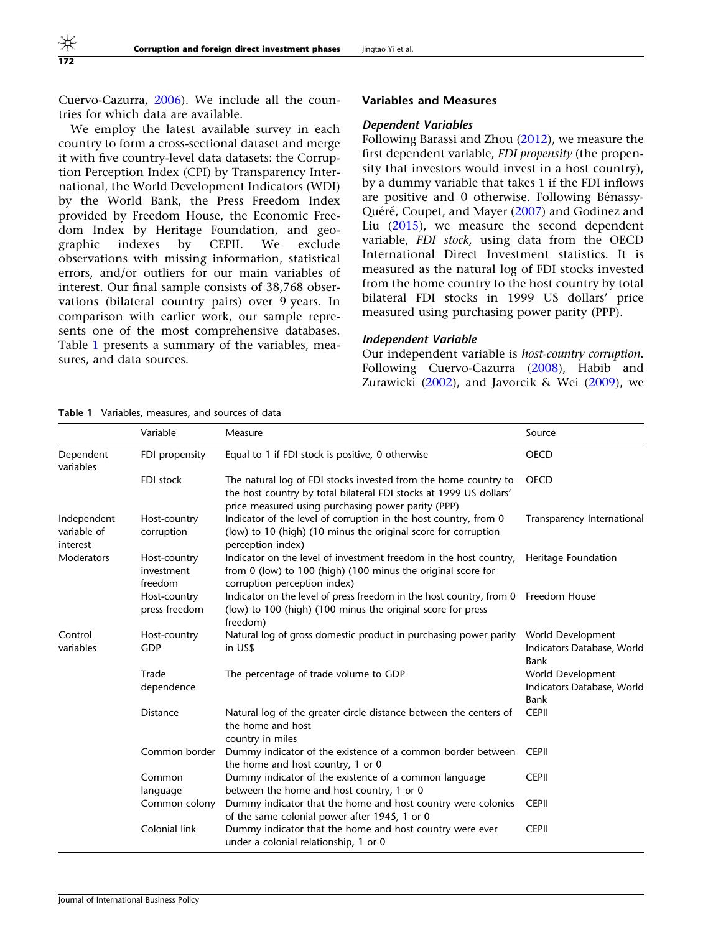Cuervo-Cazurra, [2006\)](#page-12-0). We include all the countries for which data are available.

We employ the latest available survey in each country to form a cross-sectional dataset and merge it with five country-level data datasets: the Corruption Perception Index (CPI) by Transparency International, the World Development Indicators (WDI) by the World Bank, the Press Freedom Index provided by Freedom House, the Economic Freedom Index by Heritage Foundation, and geographic indexes by CEPII. We exclude observations with missing information, statistical errors, and/or outliers for our main variables of interest. Our final sample consists of 38,768 observations (bilateral country pairs) over 9 years. In comparison with earlier work, our sample represents one of the most comprehensive databases. Table 1 presents a summary of the variables, measures, and data sources.

## Variables and Measures

## Dependent Variables

Following Barassi and Zhou [\(2012](#page-12-0)), we measure the first dependent variable, FDI propensity (the propensity that investors would invest in a host country), by a dummy variable that takes 1 if the FDI inflows are positive and 0 otherwise. Following Bénassy-Quéré, Coupet, and Mayer [\(2007](#page-12-0)) and Godinez and Liu [\(2015](#page-12-0)), we measure the second dependent variable, FDI stock, using data from the OECD International Direct Investment statistics. It is measured as the natural log of FDI stocks invested from the home country to the host country by total bilateral FDI stocks in 1999 US dollars' price measured using purchasing power parity (PPP).

### Independent Variable

Our independent variable is host-country corruption. Following Cuervo-Cazurra [\(2008](#page-12-0)), Habib and Zurawicki ([2002](#page-13-0)), and Javorcik & Wei ([2009\)](#page-13-0), we

Table 1 Variables, measures, and sources of data

|                                        | Variable                              | Measure                                                                                                                                                                                     | Source                                                  |
|----------------------------------------|---------------------------------------|---------------------------------------------------------------------------------------------------------------------------------------------------------------------------------------------|---------------------------------------------------------|
| Dependent<br>variables                 | FDI propensity                        | Equal to 1 if FDI stock is positive, 0 otherwise                                                                                                                                            | <b>OECD</b>                                             |
|                                        | FDI stock                             | The natural log of FDI stocks invested from the home country to<br>the host country by total bilateral FDI stocks at 1999 US dollars'<br>price measured using purchasing power parity (PPP) | <b>OECD</b>                                             |
| Independent<br>variable of<br>interest | Host-country<br>corruption            | Indicator of the level of corruption in the host country, from 0<br>(low) to 10 (high) (10 minus the original score for corruption<br>perception index)                                     | Transparency International                              |
| <b>Moderators</b>                      | Host-country<br>investment<br>freedom | Indicator on the level of investment freedom in the host country,<br>from 0 (low) to 100 (high) (100 minus the original score for<br>corruption perception index)                           | Heritage Foundation                                     |
|                                        | Host-country<br>press freedom         | Indicator on the level of press freedom in the host country, from 0 Freedom House<br>(low) to 100 (high) (100 minus the original score for press<br>freedom)                                |                                                         |
| Control<br>variables                   | Host-country<br><b>GDP</b>            | Natural log of gross domestic product in purchasing power parity<br>in US\$                                                                                                                 | World Development<br>Indicators Database, World<br>Bank |
|                                        | Trade<br>dependence                   | The percentage of trade volume to GDP                                                                                                                                                       | World Development<br>Indicators Database, World<br>Bank |
|                                        | <b>Distance</b>                       | Natural log of the greater circle distance between the centers of<br>the home and host<br>country in miles                                                                                  | <b>CEPII</b>                                            |
|                                        | Common border                         | Dummy indicator of the existence of a common border between CEPII<br>the home and host country, 1 or 0                                                                                      |                                                         |
|                                        | Common<br>language                    | Dummy indicator of the existence of a common language<br>between the home and host country, 1 or 0                                                                                          | <b>CEPII</b>                                            |
|                                        | Common colony                         | Dummy indicator that the home and host country were colonies<br>of the same colonial power after 1945, 1 or 0                                                                               | <b>CEPII</b>                                            |
|                                        | Colonial link                         | Dummy indicator that the home and host country were ever<br>under a colonial relationship, 1 or 0                                                                                           | <b>CEPII</b>                                            |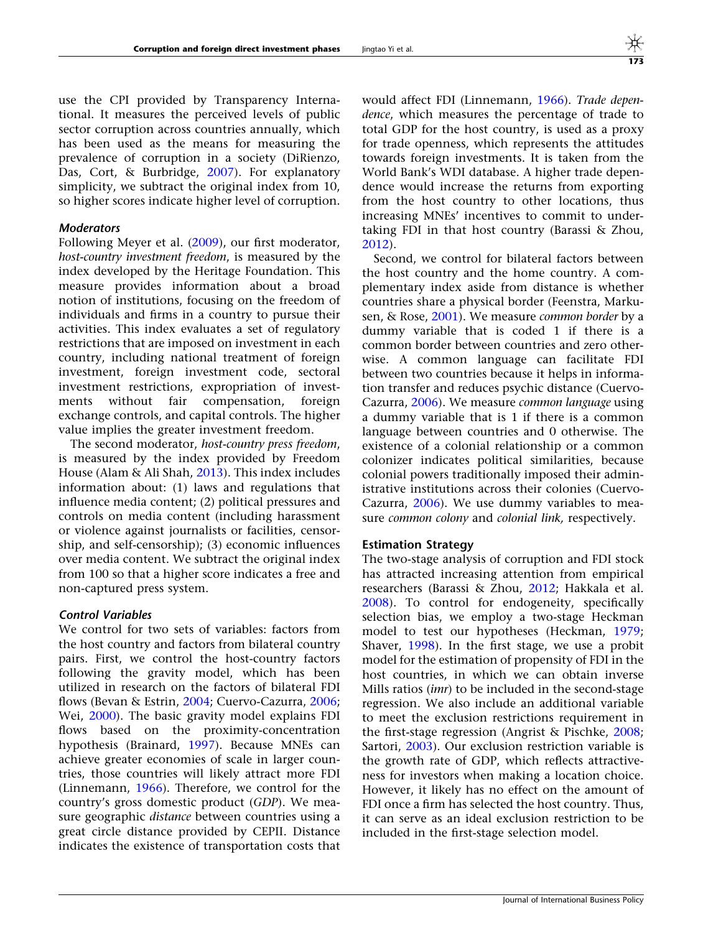use the CPI provided by Transparency International. It measures the perceived levels of public sector corruption across countries annually, which has been used as the means for measuring the prevalence of corruption in a society (DiRienzo, Das, Cort, & Burbridge, [2007](#page-12-0)). For explanatory simplicity, we subtract the original index from 10, so higher scores indicate higher level of corruption.

## **Moderators**

Following Meyer et al. ([2009\)](#page-13-0), our first moderator, host-country investment freedom, is measured by the index developed by the Heritage Foundation. This measure provides information about a broad notion of institutions, focusing on the freedom of individuals and firms in a country to pursue their activities. This index evaluates a set of regulatory restrictions that are imposed on investment in each country, including national treatment of foreign investment, foreign investment code, sectoral investment restrictions, expropriation of investments without fair compensation, foreign exchange controls, and capital controls. The higher value implies the greater investment freedom.

The second moderator, host-country press freedom, is measured by the index provided by Freedom House (Alam & Ali Shah, [2013](#page-12-0)). This index includes information about: (1) laws and regulations that influence media content; (2) political pressures and controls on media content (including harassment or violence against journalists or facilities, censorship, and self-censorship); (3) economic influences over media content. We subtract the original index from 100 so that a higher score indicates a free and non-captured press system.

## Control Variables

We control for two sets of variables: factors from the host country and factors from bilateral country pairs. First, we control the host-country factors following the gravity model, which has been utilized in research on the factors of bilateral FDI flows (Bevan & Estrin, [2004;](#page-12-0) Cuervo-Cazurra, [2006;](#page-12-0) Wei, [2000](#page-13-0)). The basic gravity model explains FDI flows based on the proximity-concentration hypothesis (Brainard, [1997](#page-12-0)). Because MNEs can achieve greater economies of scale in larger countries, those countries will likely attract more FDI (Linnemann, [1966\)](#page-13-0). Therefore, we control for the country's gross domestic product (GDP). We measure geographic distance between countries using a great circle distance provided by CEPII. Distance indicates the existence of transportation costs that

would affect FDI (Linnemann, [1966\)](#page-13-0). Trade dependence, which measures the percentage of trade to total GDP for the host country, is used as a proxy for trade openness, which represents the attitudes towards foreign investments. It is taken from the World Bank's WDI database. A higher trade dependence would increase the returns from exporting from the host country to other locations, thus increasing MNEs' incentives to commit to undertaking FDI in that host country (Barassi & Zhou, [2012\)](#page-12-0).

Second, we control for bilateral factors between the host country and the home country. A complementary index aside from distance is whether countries share a physical border (Feenstra, Markusen, & Rose, [2001\)](#page-12-0). We measure common border by a dummy variable that is coded 1 if there is a common border between countries and zero otherwise. A common language can facilitate FDI between two countries because it helps in information transfer and reduces psychic distance (Cuervo-Cazurra, [2006](#page-12-0)). We measure common language using a dummy variable that is 1 if there is a common language between countries and 0 otherwise. The existence of a colonial relationship or a common colonizer indicates political similarities, because colonial powers traditionally imposed their administrative institutions across their colonies (Cuervo-Cazurra, [2006](#page-12-0)). We use dummy variables to measure common colony and colonial link, respectively.

## Estimation Strategy

The two-stage analysis of corruption and FDI stock has attracted increasing attention from empirical researchers (Barassi & Zhou, [2012;](#page-12-0) Hakkala et al. [2008\)](#page-13-0). To control for endogeneity, specifically selection bias, we employ a two-stage Heckman model to test our hypotheses (Heckman, [1979;](#page-13-0) Shaver, [1998\)](#page-13-0). In the first stage, we use a probit model for the estimation of propensity of FDI in the host countries, in which we can obtain inverse Mills ratios (imr) to be included in the second-stage regression. We also include an additional variable to meet the exclusion restrictions requirement in the first-stage regression (Angrist & Pischke, [2008;](#page-12-0) Sartori, [2003\)](#page-13-0). Our exclusion restriction variable is the growth rate of GDP, which reflects attractiveness for investors when making a location choice. However, it likely has no effect on the amount of FDI once a firm has selected the host country. Thus, it can serve as an ideal exclusion restriction to be included in the first-stage selection model.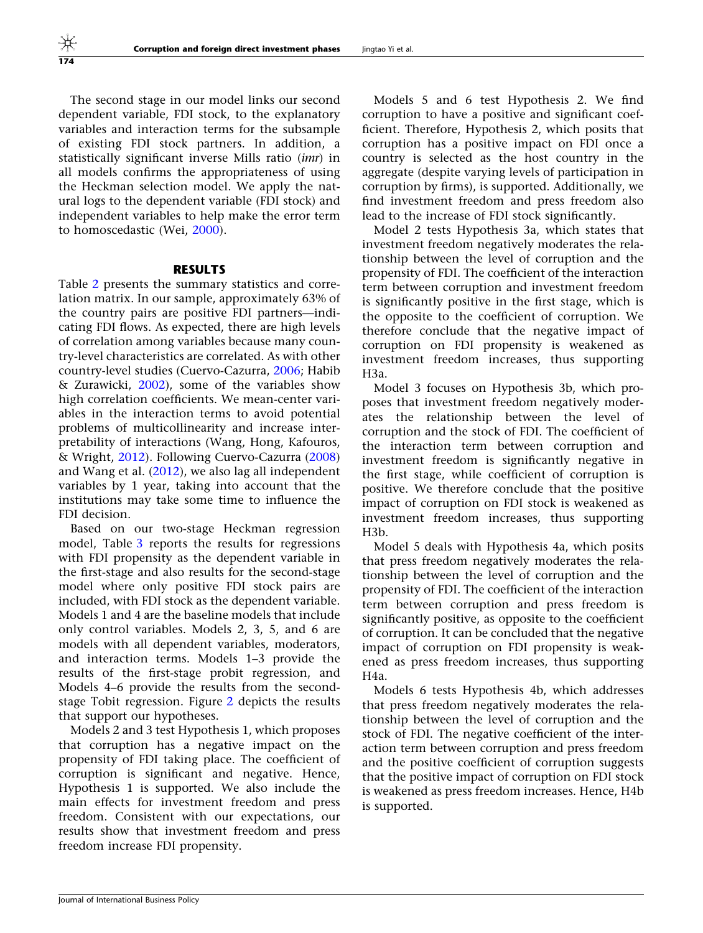The second stage in our model links our second dependent variable, FDI stock, to the explanatory variables and interaction terms for the subsample of existing FDI stock partners. In addition, a statistically significant inverse Mills ratio (imr) in all models confirms the appropriateness of using the Heckman selection model. We apply the natural logs to the dependent variable (FDI stock) and independent variables to help make the error term to homoscedastic (Wei, [2000\)](#page-13-0).

#### RESULTS

Table [2](#page-8-0) presents the summary statistics and correlation matrix. In our sample, approximately 63% of the country pairs are positive FDI partners—indicating FDI flows. As expected, there are high levels of correlation among variables because many country-level characteristics are correlated. As with other country-level studies (Cuervo-Cazurra, [2006;](#page-12-0) Habib & Zurawicki, [2002](#page-13-0)), some of the variables show high correlation coefficients. We mean-center variables in the interaction terms to avoid potential problems of multicollinearity and increase interpretability of interactions (Wang, Hong, Kafouros, & Wright, [2012](#page-13-0)). Following Cuervo-Cazurra ([2008\)](#page-12-0) and Wang et al. [\(2012](#page-13-0)), we also lag all independent variables by 1 year, taking into account that the institutions may take some time to influence the FDI decision.

Based on our two-stage Heckman regression model, Table [3](#page-9-0) reports the results for regressions with FDI propensity as the dependent variable in the first-stage and also results for the second-stage model where only positive FDI stock pairs are included, with FDI stock as the dependent variable. Models 1 and 4 are the baseline models that include only control variables. Models 2, 3, 5, and 6 are models with all dependent variables, moderators, and interaction terms. Models 1–3 provide the results of the first-stage probit regression, and Models 4–6 provide the results from the secondstage Tobit regression. Figure [2](#page-10-0) depicts the results that support our hypotheses.

Models 2 and 3 test Hypothesis 1, which proposes that corruption has a negative impact on the propensity of FDI taking place. The coefficient of corruption is significant and negative. Hence, Hypothesis 1 is supported. We also include the main effects for investment freedom and press freedom. Consistent with our expectations, our results show that investment freedom and press freedom increase FDI propensity.

Models 5 and 6 test Hypothesis 2. We find corruption to have a positive and significant coefficient. Therefore, Hypothesis 2, which posits that corruption has a positive impact on FDI once a country is selected as the host country in the aggregate (despite varying levels of participation in corruption by firms), is supported. Additionally, we find investment freedom and press freedom also lead to the increase of FDI stock significantly.

Model 2 tests Hypothesis 3a, which states that investment freedom negatively moderates the relationship between the level of corruption and the propensity of FDI. The coefficient of the interaction term between corruption and investment freedom is significantly positive in the first stage, which is the opposite to the coefficient of corruption. We therefore conclude that the negative impact of corruption on FDI propensity is weakened as investment freedom increases, thus supporting H3a.

Model 3 focuses on Hypothesis 3b, which proposes that investment freedom negatively moderates the relationship between the level of corruption and the stock of FDI. The coefficient of the interaction term between corruption and investment freedom is significantly negative in the first stage, while coefficient of corruption is positive. We therefore conclude that the positive impact of corruption on FDI stock is weakened as investment freedom increases, thus supporting H3b.

Model 5 deals with Hypothesis 4a, which posits that press freedom negatively moderates the relationship between the level of corruption and the propensity of FDI. The coefficient of the interaction term between corruption and press freedom is significantly positive, as opposite to the coefficient of corruption. It can be concluded that the negative impact of corruption on FDI propensity is weakened as press freedom increases, thus supporting H4a.

Models 6 tests Hypothesis 4b, which addresses that press freedom negatively moderates the relationship between the level of corruption and the stock of FDI. The negative coefficient of the interaction term between corruption and press freedom and the positive coefficient of corruption suggests that the positive impact of corruption on FDI stock is weakened as press freedom increases. Hence, H4b is supported.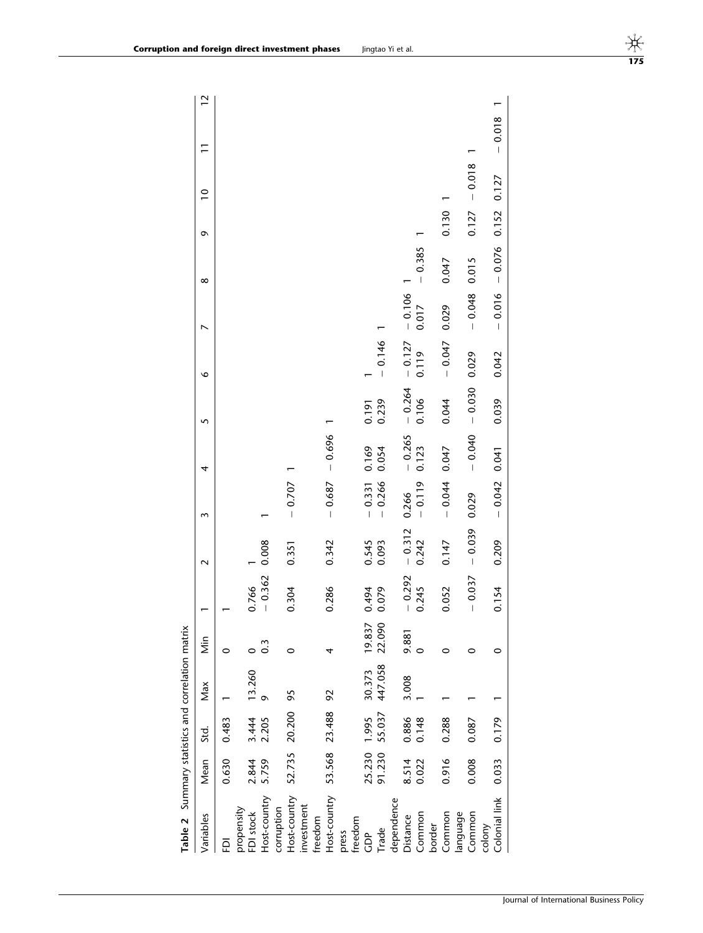<span id="page-8-0"></span>

| Table 2 Summary statistics and correlation matrix |               |                |                |        |          |                    |                |          |          |          |          |                               |       |                |                |  |
|---------------------------------------------------|---------------|----------------|----------------|--------|----------|--------------------|----------------|----------|----------|----------|----------|-------------------------------|-------|----------------|----------------|--|
| Variables                                         | Mean          | Std.           | Max            | İn     |          | $\scriptstyle\sim$ | m              | 4        | 5        | ৩        |          | ∞                             | Ō     | $\overline{0}$ | $\overline{2}$ |  |
| 즌                                                 | 0.630         | 0.483          |                |        |          |                    |                |          |          |          |          |                               |       |                |                |  |
| propensity<br>FDI stock                           | 2.844         | 3.444          | 3.260          |        | 0.766    |                    |                |          |          |          |          |                               |       |                |                |  |
| Host-country                                      | 5.759         | 2.205          |                |        | $-0.362$ | 0.008              |                |          |          |          |          |                               |       |                |                |  |
| Host-country<br>corruption                        | 52.735        | 20.200         | 95             | 0      | 0.304    | 0.351              | $-0.707$       |          |          |          |          |                               |       |                |                |  |
| investment                                        |               |                |                |        |          |                    |                |          |          |          |          |                               |       |                |                |  |
| freedom                                           |               |                |                |        |          |                    |                |          |          |          |          |                               |       |                |                |  |
| Host-country                                      | 53.568 23.488 |                | $\overline{9}$ |        | 0.286    | 0.342              | $-0.687$       | $-0.696$ |          |          |          |                               |       |                |                |  |
| reedom<br>press                                   |               |                |                |        |          |                    |                |          |          |          |          |                               |       |                |                |  |
| ĝ                                                 | 25.230        | 1.995          | 30.373         | 19.837 | 0.494    | 0.545              | $-0.331$       | 0.169    | 0.191    |          |          |                               |       |                |                |  |
| Trade                                             | 91.230        | 55.037         | 447.058        | 22.090 | 0.079    | 0.093              | $-0.266$       | 0.054    | 0.239    | $-0.146$ |          |                               |       |                |                |  |
| dependence                                        |               |                |                |        |          |                    |                |          |          |          |          |                               |       |                |                |  |
| Distance                                          | 8.514         |                | 3.008          | 9.881  | $-0.292$ | $-0.312$           | 0.266          | $-0.265$ | $-0.264$ | $-0.127$ | $-0.106$ |                               |       |                |                |  |
| Common                                            | 0.022         | 0.886<br>0.148 |                |        | 0.245    | 0.242              | $-0.119$       | 0.123    | 0.106    | 0.119    | 0.017    | $-0.385$                      |       |                |                |  |
| border                                            |               |                |                |        |          |                    |                |          |          |          |          |                               |       |                |                |  |
| Common                                            | 0.916         | 0.288          |                |        | 0.052    | 0.147              | $-0.044$       | 0.047    | 0.044    | $-0.047$ | 0.029    | 0.047                         | 0.130 |                |                |  |
| language                                          |               |                |                |        |          |                    |                |          |          |          |          |                               |       |                |                |  |
| Common                                            | 0.008         | 0.087          |                |        | $-0.037$ | $-0.039$           | 0.029          | $-0.040$ | $-0.030$ | 0.029    | $-0.048$ | 0.015                         | 0.127 | $-0.018$       |                |  |
| colony                                            |               |                |                |        |          |                    |                |          |          |          |          |                               |       |                |                |  |
| Colonial link                                     | 0.033         | 0.179          |                | 0      | 0.154    | 0.209              | $-0.042$ 0.041 |          | 0.039    | 0.042    |          | $-0.016$ $-0.076$ 0.152 0.127 |       |                | $-0.018$       |  |
|                                                   |               |                |                |        |          |                    |                |          |          |          |          |                               |       |                |                |  |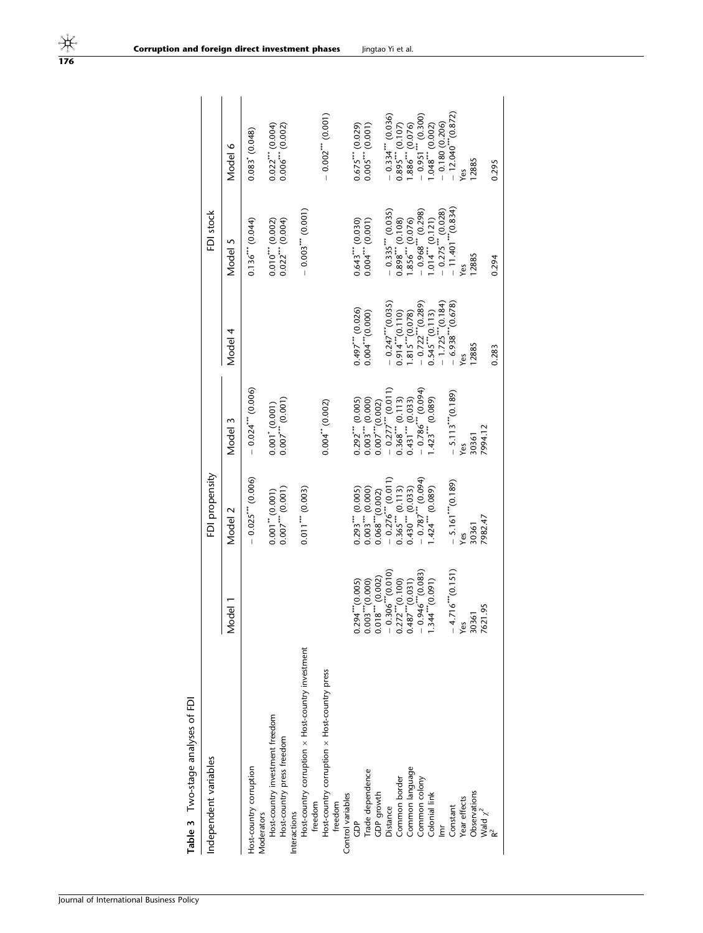| i<br>ī             |
|--------------------|
| ï<br>١             |
| š                  |
| vleue<br>$\bar{5}$ |
| dane               |
| ť                  |
|                    |

<span id="page-9-0"></span>

| Independent variables                                                       |                                                    | FDI propensity                                      |                                                                                               |                                              | FDI stock                                               |                                                         |
|-----------------------------------------------------------------------------|----------------------------------------------------|-----------------------------------------------------|-----------------------------------------------------------------------------------------------|----------------------------------------------|---------------------------------------------------------|---------------------------------------------------------|
|                                                                             | Model 1                                            | Model 2                                             | Model 3                                                                                       | Model 4                                      | Model 5                                                 | Model 6                                                 |
| Host-country corruption                                                     |                                                    | $-0.025$ (0.006)                                    | $-0.024$ <sup>***</sup> (0.006)                                                               |                                              | $0.136'''$ $(0.044)$                                    | $0.083$ $(0.048)$                                       |
| Host-country investment freedom<br>Host-country press freedom<br>Moderators |                                                    | $0.007***$ (0.001)<br>$0.001$ <sup>**</sup> (0.001) | $0.007***$ (0.001)<br>0.001''(0.001)                                                          |                                              | $0.022$ <sup>***</sup> (0.004)<br>$0.010^{***}$ (0.002) | $0.022$ <sup>***</sup> (0.004)<br>$0.006$ $(0.002)$     |
| Host-country corruption x Host-country investment<br>Interactions           |                                                    | $0.011$ (0.003)                                     |                                                                                               |                                              | $-0.003$ $(0.001)$                                      |                                                         |
| Host-country corruption x Host-country press<br>freedom<br>freedom          |                                                    |                                                     | $0.004$ $(0.002)$                                                                             |                                              |                                                         | $-0.002$ <sup>***</sup> (0.001)                         |
| Control variables                                                           |                                                    |                                                     |                                                                                               |                                              |                                                         |                                                         |
| GDP                                                                         | $0.294$ <sup>***</sup> $(0.005)$                   |                                                     | $0.292^{***}$ (0.005)                                                                         | $0.497$ <sup>***</sup> (0.026)               | $0.643'''$ $(0.030)$                                    | $0.675$ (0.029)                                         |
| Trade dependence                                                            | $0.003$ <sup>***</sup> (0.000)                     | $0.293'''$ (0.005)<br>$0.003'''$ (0.000)            | $0.003$ <sup>***</sup> $(0.000)$                                                              | $0.004$ $^{***}$ (0.000)                     | $0.004$ $(0.001)$                                       | $0.005***$ (0.001)                                      |
| GDP growth                                                                  | $0.018$ $^{**}$ (0.002)<br>- 0.306 $^{**}$ (0.010) | 0.068'''(0.002)                                     | 0.007'''(0.002)                                                                               |                                              |                                                         |                                                         |
| Distance                                                                    |                                                    | $-0.276^{***}$ (0.011)<br>0.365 $^{***}$ (0.113)    | $\begin{array}{c} -0.277^{***}(0.011) \\ 0.368^{***}(0.113) \end{array}$                      | $0.247$ <sup>**</sup> (0.035)                | $-0.335$ <sup>***</sup> (0.035)                         | $0.334$ <sup>***</sup> $(0.036)$                        |
| Common border                                                               | $0.272^{***} (0.100)$                              |                                                     |                                                                                               | 0.914'''(0.110)                              | $0.898'''$ (0.108)                                      | $0.895***$ (0.107)                                      |
| Common language                                                             | 0.487'''(0.031)                                    | $0.430^{***}$ (0.033)                               | $\begin{array}{c} 0.431^{***}(0.033) \\ -0.786^{***}(0.094) \\ 1.423^{**}(0.089) \end{array}$ | $1.815^{***} (0.078)$                        | $1.856^{***}$ (0.076)<br>- 0.968 <sup>***</sup> (0.298) | $1.886'''^{+}(0.076)$<br>- 0.951 <sup>***</sup> (0.300) |
| Common colony                                                               | $0.946^{***} (0.083)$                              | $-0.787^{**}$ (0.094)<br>1.424*** (0.089)           |                                                                                               | $0.722***$ (0.289)                           |                                                         |                                                         |
| Colonial link                                                               | $1.344$ <sup>**</sup> (0.091)                      |                                                     |                                                                                               | $0.545$ <sup>***</sup> $(0.113)$             | $1.014$ <sup>***</sup> $(0.121)$                        | $1.048$ $(0.002)$                                       |
| È                                                                           |                                                    |                                                     |                                                                                               |                                              | $0.275'''$ (0.028)                                      | 0.180 (0.206)                                           |
| Constant                                                                    | $-4.716^{***}(0.151)$                              | $-5.161'''(0.189)$                                  | $-5.113^{***}(0.189)$                                                                         | $-1.725^{**}(0.184)$<br>$-6.938^{**}(0.678)$ | $11.401$ <sup>***</sup> $(0.834)$                       | $12.040^{24}$ (0.872)                                   |
| Year effects                                                                | Yes                                                | Yes                                                 | Yes                                                                                           | š                                            | Yes                                                     | Yes                                                     |
|                                                                             | 30361                                              | 30361                                               | 30361                                                                                         | 12885                                        | 12885                                                   | 12885                                                   |
| Observations<br>Wald $\chi^2$<br>R <sup>2</sup>                             | 7621.95                                            | 7982.47                                             | 7994.12                                                                                       |                                              |                                                         |                                                         |
|                                                                             |                                                    |                                                     |                                                                                               | 0.283                                        | 0.294                                                   | 0.295                                                   |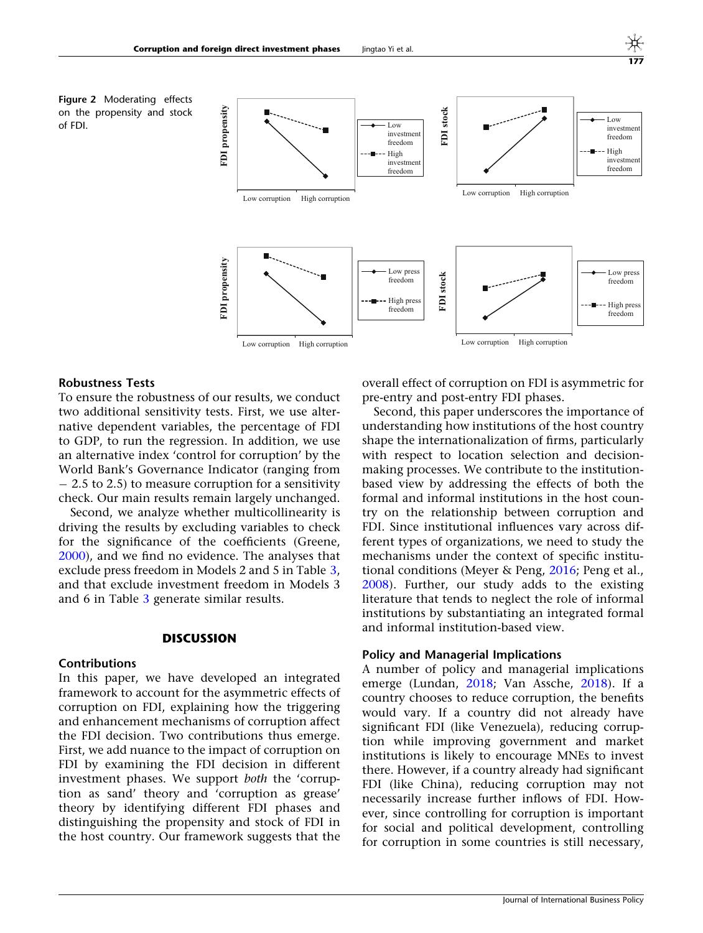<span id="page-10-0"></span>Figure 2 Moderating effects on the propensity and stock of FDI.



# Robustness Tests

To ensure the robustness of our results, we conduct two additional sensitivity tests. First, we use alternative dependent variables, the percentage of FDI to GDP, to run the regression. In addition, we use an alternative index 'control for corruption' by the World Bank's Governance Indicator (ranging from - 2.5 to 2.5) to measure corruption for a sensitivity check. Our main results remain largely unchanged.

Second, we analyze whether multicollinearity is driving the results by excluding variables to check for the significance of the coefficients (Greene, [2000\)](#page-12-0), and we find no evidence. The analyses that exclude press freedom in Models 2 and 5 in Table [3,](#page-9-0) and that exclude investment freedom in Models 3 and 6 in Table [3](#page-9-0) generate similar results.

## **DISCUSSION**

## Contributions

In this paper, we have developed an integrated framework to account for the asymmetric effects of corruption on FDI, explaining how the triggering and enhancement mechanisms of corruption affect the FDI decision. Two contributions thus emerge. First, we add nuance to the impact of corruption on FDI by examining the FDI decision in different investment phases. We support both the 'corruption as sand' theory and 'corruption as grease' theory by identifying different FDI phases and distinguishing the propensity and stock of FDI in the host country. Our framework suggests that the overall effect of corruption on FDI is asymmetric for pre-entry and post-entry FDI phases.

177

Second, this paper underscores the importance of understanding how institutions of the host country shape the internationalization of firms, particularly with respect to location selection and decisionmaking processes. We contribute to the institutionbased view by addressing the effects of both the formal and informal institutions in the host country on the relationship between corruption and FDI. Since institutional influences vary across different types of organizations, we need to study the mechanisms under the context of specific institutional conditions (Meyer & Peng, [2016](#page-13-0); Peng et al., [2008\)](#page-13-0). Further, our study adds to the existing literature that tends to neglect the role of informal institutions by substantiating an integrated formal and informal institution-based view.

## Policy and Managerial Implications

A number of policy and managerial implications emerge (Lundan, [2018](#page-13-0); Van Assche, [2018](#page-13-0)). If a country chooses to reduce corruption, the benefits would vary. If a country did not already have significant FDI (like Venezuela), reducing corruption while improving government and market institutions is likely to encourage MNEs to invest there. However, if a country already had significant FDI (like China), reducing corruption may not necessarily increase further inflows of FDI. However, since controlling for corruption is important for social and political development, controlling for corruption in some countries is still necessary,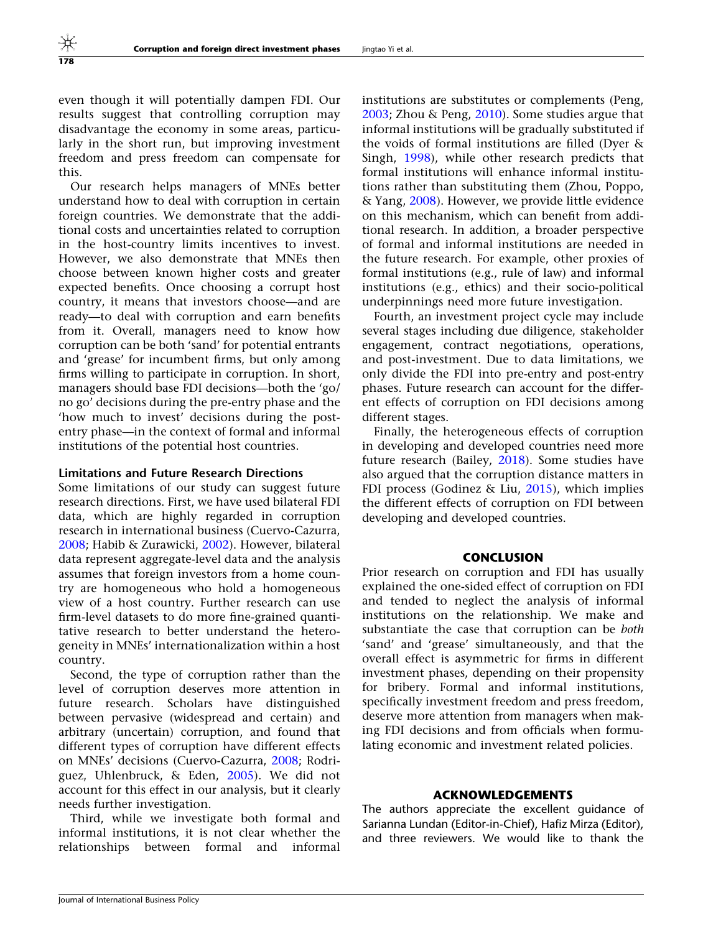even though it will potentially dampen FDI. Our results suggest that controlling corruption may disadvantage the economy in some areas, particularly in the short run, but improving investment freedom and press freedom can compensate for this.

Our research helps managers of MNEs better understand how to deal with corruption in certain foreign countries. We demonstrate that the additional costs and uncertainties related to corruption in the host-country limits incentives to invest. However, we also demonstrate that MNEs then choose between known higher costs and greater expected benefits. Once choosing a corrupt host country, it means that investors choose—and are ready—to deal with corruption and earn benefits from it. Overall, managers need to know how corruption can be both 'sand' for potential entrants and 'grease' for incumbent firms, but only among firms willing to participate in corruption. In short, managers should base FDI decisions—both the 'go/ no go' decisions during the pre-entry phase and the 'how much to invest' decisions during the postentry phase—in the context of formal and informal institutions of the potential host countries.

## Limitations and Future Research Directions

Some limitations of our study can suggest future research directions. First, we have used bilateral FDI data, which are highly regarded in corruption research in international business (Cuervo-Cazurra, [2008;](#page-12-0) Habib & Zurawicki, [2002](#page-13-0)). However, bilateral data represent aggregate-level data and the analysis assumes that foreign investors from a home country are homogeneous who hold a homogeneous view of a host country. Further research can use firm-level datasets to do more fine-grained quantitative research to better understand the heterogeneity in MNEs' internationalization within a host country.

Second, the type of corruption rather than the level of corruption deserves more attention in future research. Scholars have distinguished between pervasive (widespread and certain) and arbitrary (uncertain) corruption, and found that different types of corruption have different effects on MNEs' decisions (Cuervo-Cazurra, [2008](#page-12-0); Rodriguez, Uhlenbruck, & Eden, [2005](#page-13-0)). We did not account for this effect in our analysis, but it clearly needs further investigation.

Third, while we investigate both formal and informal institutions, it is not clear whether the relationships between formal and informal

institutions are substitutes or complements (Peng, [2003;](#page-13-0) Zhou & Peng, [2010](#page-13-0)). Some studies argue that informal institutions will be gradually substituted if the voids of formal institutions are filled (Dyer & Singh, [1998](#page-12-0)), while other research predicts that formal institutions will enhance informal institutions rather than substituting them (Zhou, Poppo, & Yang, [2008\)](#page-13-0). However, we provide little evidence on this mechanism, which can benefit from additional research. In addition, a broader perspective of formal and informal institutions are needed in the future research. For example, other proxies of formal institutions (e.g., rule of law) and informal institutions (e.g., ethics) and their socio-political underpinnings need more future investigation.

Fourth, an investment project cycle may include several stages including due diligence, stakeholder engagement, contract negotiations, operations, and post-investment. Due to data limitations, we only divide the FDI into pre-entry and post-entry phases. Future research can account for the different effects of corruption on FDI decisions among different stages.

Finally, the heterogeneous effects of corruption in developing and developed countries need more future research (Bailey, [2018](#page-12-0)). Some studies have also argued that the corruption distance matters in FDI process (Godinez & Liu, [2015](#page-12-0)), which implies the different effects of corruption on FDI between developing and developed countries.

#### CONCLUSION

Prior research on corruption and FDI has usually explained the one-sided effect of corruption on FDI and tended to neglect the analysis of informal institutions on the relationship. We make and substantiate the case that corruption can be both 'sand' and 'grease' simultaneously, and that the overall effect is asymmetric for firms in different investment phases, depending on their propensity for bribery. Formal and informal institutions, specifically investment freedom and press freedom, deserve more attention from managers when making FDI decisions and from officials when formulating economic and investment related policies.

#### ACKNOWLEDGEMENTS

The authors appreciate the excellent guidance of Sarianna Lundan (Editor-in-Chief), Hafiz Mirza (Editor), and three reviewers. We would like to thank the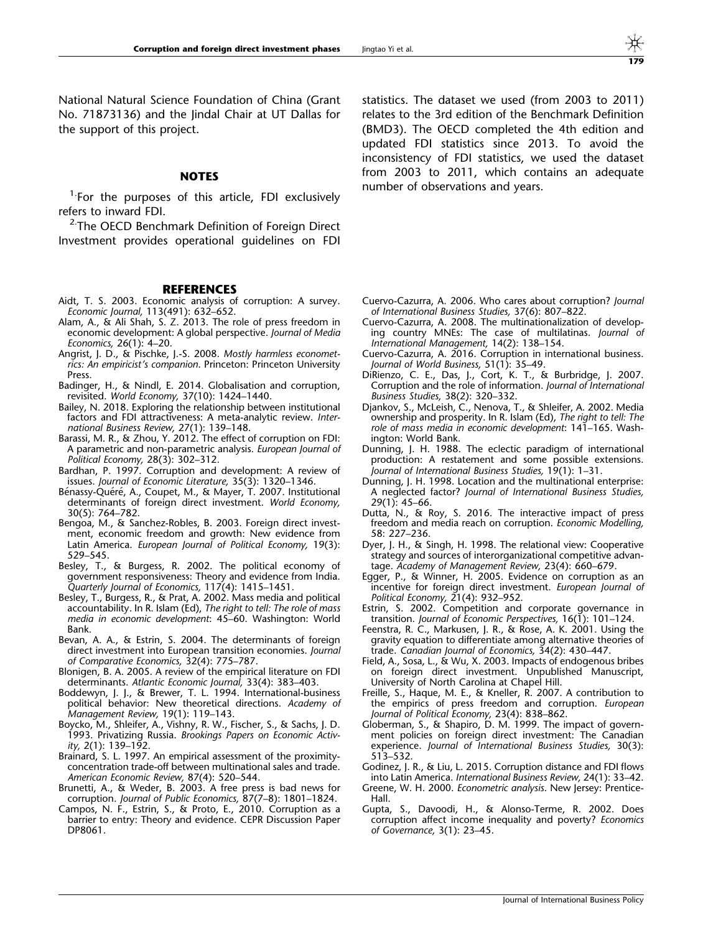<span id="page-12-0"></span>National Natural Science Foundation of China (Grant No. 71873136) and the Jindal Chair at UT Dallas for the support of this project.

## NOTES

 $<sup>1</sup>$  For the purposes of this article, FDI exclusively</sup> refers to inward FDI.

<sup>2.</sup>The OECD Benchmark Definition of Foreign Direct Investment provides operational guidelines on FDI

#### **REFERENCES**

- Aidt, T. S. 2003. Economic analysis of corruption: A survey. Economic Journal, 113(491): 632–652.
- Alam, A., & Ali Shah, S. Z. 2013. The role of press freedom in economic development: A global perspective. Journal of Media Economics, 26(1): 4–20.
- Angrist, J. D., & Pischke, J.-S. 2008. Mostly harmless econometrics: An empiricist's companion. Princeton: Princeton University Press.
- Badinger, H., & Nindl, E. 2014. Globalisation and corruption, revisited. World Economy, 37(10): 1424–1440.
- Bailey, N. 2018. Exploring the relationship between institutional factors and FDI attractiveness: A meta-analytic review. International Business Review, 27(1): 139–148.
- Barassi, M. R., & Zhou, Y. 2012. The effect of corruption on FDI: A parametric and non-parametric analysis. European Journal of Political Economy, 28(3): 302–312.
- Bardhan, P. 1997. Corruption and development: A review of issues. Journal of Economic Literature, 35(3): 1320–1346.
- Bénassy-Quéré, A., Coupet, M., & Mayer, T. 2007. Institutional determinants of foreign direct investment. World Economy, 30(5): 764–782.
- Bengoa, M., & Sanchez-Robles, B. 2003. Foreign direct investment, economic freedom and growth: New evidence from Latin America. European Journal of Political Economy, 19(3): 529–545.
- Besley, T., & Burgess, R. 2002. The political economy of government responsiveness: Theory and evidence from India. Quarterly Journal of Economics, 117(4): 1415–1451.
- Besley, T., Burgess, R., & Prat, A. 2002. Mass media and political accountability. In R. Islam (Ed), The right to tell: The role of mass media in economic development: 45–60. Washington: World Bank.
- Bevan, A. A., & Estrin, S. 2004. The determinants of foreign direct investment into European transition economies. Journal of Comparative Economics, 32(4): 775–787.
- Blonigen, B. A. 2005. A review of the empirical literature on FDI determinants. Atlantic Economic Journal, 33(4): 383–403.
- Boddewyn, J. J., & Brewer, T. L. 1994. International-business political behavior: New theoretical directions. Academy of Management Review, 19(1): 119–143.
- Boycko, M., Shleifer, A., Vishny, R. W., Fischer, S., & Sachs, J. D. 1993. Privatizing Russia. Brookings Papers on Economic Activity, 2(1): 139–192.
- Brainard, S. L. 1997. An empirical assessment of the proximityconcentration trade-off between multinational sales and trade. American Economic Review, 87(4): 520–544.
- Brunetti, A., & Weder, B. 2003. A free press is bad news for corruption. Journal of Public Economics, 87(7–8): 1801–1824.
- Campos, N. F., Estrin, S., & Proto, E., 2010. Corruption as a barrier to entry: Theory and evidence. CEPR Discussion Paper DP8061.

statistics. The dataset we used (from 2003 to 2011) relates to the 3rd edition of the Benchmark Definition (BMD3). The OECD completed the 4th edition and updated FDI statistics since 2013. To avoid the inconsistency of FDI statistics, we used the dataset from 2003 to 2011, which contains an adequate number of observations and years.

- Cuervo-Cazurra, A. 2006. Who cares about corruption? Journal of International Business Studies, 37(6): 807–822.
- Cuervo-Cazurra, A. 2008. The multinationalization of developing country MNEs: The case of multilatinas. *Journal* of International Management, 14(2): 138–154.
- Cuervo-Cazurra, A. 2016. Corruption in international business. Journal of World Business, 51(1): 35–49.
- DiRienzo, C. E., Das, J., Cort, K. T., & Burbridge, J. 2007. Corruption and the role of information. Journal of International Business Studies, 38(2): 320–332.
- Djankov, S., McLeish, C., Nenova, T., & Shleifer, A. 2002. Media ownership and prosperity. In R. Islam (Ed), The right to tell: The role of mass media in economic development: 141–165. Washington: World Bank.
- Dunning, J. H. 1988. The eclectic paradigm of international production: A restatement and some possible extensions. Journal of International Business Studies, 19(1): 1–31.
- Dunning, J. H. 1998. Location and the multinational enterprise: A neglected factor? Journal of International Business Studies, 29(1): 45–66.
- Dutta, N., & Roy, S. 2016. The interactive impact of press freedom and media reach on corruption. Economic Modelling, 58: 227–236.
- Dyer, J. H., & Singh, H. 1998. The relational view: Cooperative strategy and sources of interorganizational competitive advantage. Academy of Management Review, 23(4): 660–679.
- Egger, P., & Winner, H. 2005. Evidence on corruption as an incentive for foreign direct investment. European Journal of Political Economy, 21(4): 932–952.
- Estrin, S. 2002. Competition and corporate governance in transition. Journal of Economic Perspectives, 16(1): 101–124.
- Feenstra, R. C., Markusen, J. R., & Rose, A. K. 2001. Using the gravity equation to differentiate among alternative theories of trade. Canadian Journal of Economics, 34(2): 430–447.
- Field, A., Sosa, L., & Wu, X. 2003. Impacts of endogenous bribes on foreign direct investment. Unpublished Manuscript, University of North Carolina at Chapel Hill.
- Freille, S., Haque, M. E., & Kneller, R. 2007. A contribution to the empirics of press freedom and corruption. European Journal of Political Economy, 23(4): 838–862.
- Globerman, S., & Shapiro, D. M. 1999. The impact of government policies on foreign direct investment: The Canadian experience. Journal of International Business Studies, 30(3): 513–532.
- Godinez, J. R., & Liu, L. 2015. Corruption distance and FDI flows into Latin America. International Business Review, 24(1): 33–42.
- Greene, W. H. 2000. Econometric analysis. New Jersey: Prentice-Hall.
- Gupta, S., Davoodi, H., & Alonso-Terme, R. 2002. Does corruption affect income inequality and poverty? Economics of Governance, 3(1): 23–45.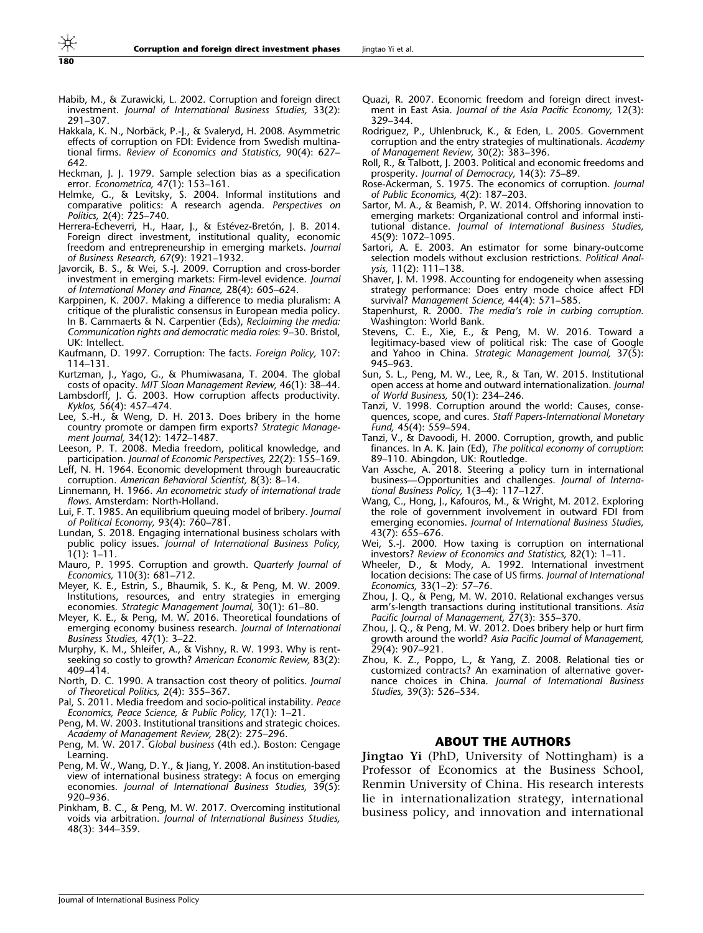- <span id="page-13-0"></span>Habib, M., & Zurawicki, L. 2002. Corruption and foreign direct investment. Journal of International Business Studies, 33(2): 291–307.
- Hakkala, K. N., Norbäck, P.-J., & Svaleryd, H. 2008. Asymmetric effects of corruption on FDI: Evidence from Swedish multinational firms. Review of Economics and Statistics, 90(4): 627– 642.
- Heckman, J. J. 1979. Sample selection bias as a specification error. Econometrica, 47(1): 153–161.
- Helmke, G., & Levitsky, S. 2004. Informal institutions and comparative politics: A research agenda. Perspectives on Politics, 2(4): 725–740.
- Herrera-Echeverri, H., Haar, J., & Estévez-Bretón, J. B. 2014. Foreign direct investment, institutional quality, economic freedom and entrepreneurship in emerging markets. Journal of Business Research, 67(9): 1921–1932.
- Javorcik, B. S., & Wei, S.-J. 2009. Corruption and cross-border investment in emerging markets: Firm-level evidence. Journal of International Money and Finance, 28(4): 605–624.
- Karppinen, K. 2007. Making a difference to media pluralism: A critique of the pluralistic consensus in European media policy. In B. Cammaerts & N. Carpentier (Eds), Reclaiming the media: Communication rights and democratic media roles: 9–30. Bristol, UK: Intellect.
- Kaufmann, D. 1997. Corruption: The facts. Foreign Policy, 107: 114–131.
- Kurtzman, J., Yago, G., & Phumiwasana, T. 2004. The global costs of opacity. MIT Sloan Management Review, 46(1): 38–44.
- Lambsdorff, J. G. 2003. How corruption affects productivity. Kyklos, 56(4): 457–474.
- Lee, S.-H., & Weng, D. H. 2013. Does bribery in the home country promote or dampen firm exports? Strategic Management Journal, 34(12): 1472–1487.
- Leeson, P. T. 2008. Media freedom, political knowledge, and participation. Journal of Economic Perspectives, 22(2): 155–169.
- Leff, N. H. 1964. Economic development through bureaucratic corruption. American Behavioral Scientist, 8(3): 8–14.
- Linnemann, H. 1966. An econometric study of international trade flows. Amsterdam: North-Holland.
- Lui, F. T. 1985. An equilibrium queuing model of bribery. Journal of Political Economy, 93(4): 760–781.
- Lundan, S. 2018. Engaging international business scholars with public policy issues. Journal of International Business Policy, 1(1): 1–11.
- Mauro, P. 1995. Corruption and growth. Quarterly Journal of Economics, 110(3): 681–712.
- Meyer, K. E., Estrin, S., Bhaumik, S. K., & Peng, M. W. 2009. Institutions, resources, and entry strategies in emerging economies. Strategic Management Journal, 30(1): 61–80.
- Meyer, K. E., & Peng, M. W. 2016. Theoretical foundations of emerging economy business research. Journal of International Business Studies, 47(1): 3–22.
- Murphy, K. M., Shleifer, A., & Vishny, R. W. 1993. Why is rentseeking so costly to growth? American Economic Review, 83(2): 409–414.
- North, D. C. 1990. A transaction cost theory of politics. Journal of Theoretical Politics, 2(4): 355–367.
- Pal, S. 2011. Media freedom and socio-political instability. Peace Economics, Peace Science, & Public Policy, 17(1): 1–21.
- Peng, M. W. 2003. Institutional transitions and strategic choices. Academy of Management Review, 28(2): 275–296.
- Peng, M. W. 2017. Global business (4th ed.). Boston: Cengage Learning.
- Peng, M. W., Wang, D. Y., & Jiang, Y. 2008. An institution-based view of international business strategy: A focus on emerging economies. Journal of International Business Studies, 39(5): 920–936.
- Pinkham, B. C., & Peng, M. W. 2017. Overcoming institutional voids via arbitration. Journal of International Business Studies, 48(3): 344–359.
- Quazi, R. 2007. Economic freedom and foreign direct investment in East Asia. Journal of the Asia Pacific Economy, 12(3): 329–344.
- Rodriguez, P., Uhlenbruck, K., & Eden, L. 2005. Government corruption and the entry strategies of multinationals. Academy of Management Review, 30(2): 383–396.
- Roll, R., & Talbott, J. 2003. Political and economic freedoms and prosperity. Journal of Democracy, 14(3): 75–89.
- Rose-Ackerman, S. 1975. The economics of corruption. Journal of Public Economics, 4(2): 187–203.
- Sartor, M. A., & Beamish, P. W. 2014. Offshoring innovation to emerging markets: Organizational control and informal institutional distance. Journal of International Business Studies, 45(9): 1072–1095.
- Sartori, A. E. 2003. An estimator for some binary-outcome selection models without exclusion restrictions. Political Analysis, 11(2): 111–138.
- Shaver, J. M. 1998. Accounting for endogeneity when assessing strategy performance: Does entry mode choice affect FDI survival? Management Science, 44(4): 571–585.
- Stapenhurst, R. 2000. The media's role in curbing corruption. Washington: World Bank.
- Stevens, C. E., Xie, E., & Peng, M. W. 2016. Toward a legitimacy-based view of political risk: The case of Google and Yahoo in China. Strategic Management Journal, 37(5): 945–963.
- Sun, S. L., Peng, M. W., Lee, R., & Tan, W. 2015. Institutional open access at home and outward internationalization. Journal of World Business, 50(1): 234–246.
- Tanzi, V. 1998. Corruption around the world: Causes, consequences, scope, and cures. Staff Papers-International Monetary Fund, 45(4): 559–594.
- Tanzi, V., & Davoodi, H. 2000. Corruption, growth, and public finances. In A. K. Jain (Ed), The political economy of corruption: 89–110. Abingdon, UK: Routledge.
- Van Assche, A. 2018. Steering a policy turn in international business—Opportunities and challenges. Journal of International Business Policy, 1(3–4): 117–127.
- Wang, C., Hong, J., Kafouros, M., & Wright, M. 2012. Exploring the role of government involvement in outward FDI from emerging economies. Journal of International Business Studies, 43(7): 655–676.
- Wei, S.-J. 2000. How taxing is corruption on international investors? Review of Economics and Statistics, 82(1): 1–11.
- Wheeler, D., & Mody, A. 1992. International investment location decisions: The case of US firms. Journal of International Economics, 33(1–2): 57–76.
- Zhou, J. Q., & Peng, M. W. 2010. Relational exchanges versus arm's-length transactions during institutional transitions. Asia Pacific Journal of Management, 27(3): 355–370.
- Zhou, J. Q., & Peng, M. W. 2012. Does bribery help or hurt firm growth around the world? Asia Pacific Journal of Management, 29(4): 907–921.
- Zhou, K. Z., Poppo, L., & Yang, Z. 2008. Relational ties or customized contracts? An examination of alternative governance choices in China. Journal of International Business Studies, 39(3): 526–534.

#### ABOUT THE AUTHORS

Jingtao Yi (PhD, University of Nottingham) is a Professor of Economics at the Business School, Renmin University of China. His research interests lie in internationalization strategy, international business policy, and innovation and international